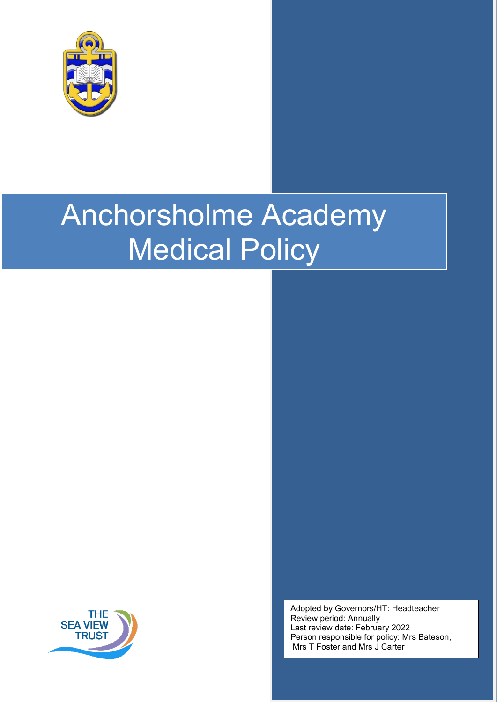

# Anchorsholme Academy Medical Policy



Adopted by Governors/HT: Headteacher Review period: Annually Last review date: February 2022 Person responsible for policy: Mrs Bateson, Mrs T Foster and Mrs J Carter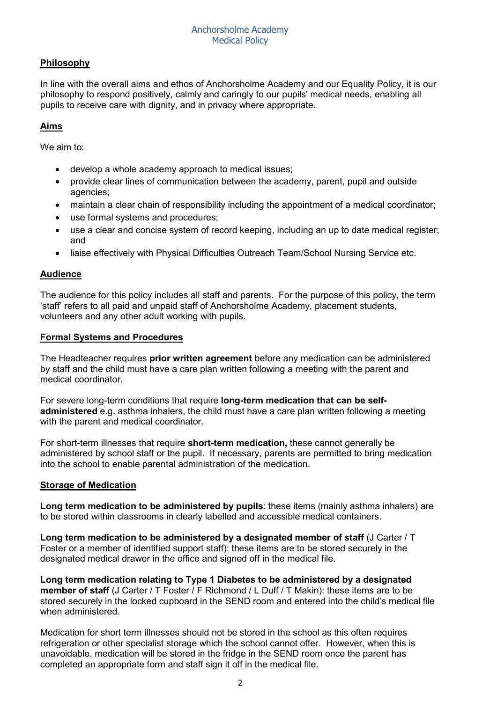# **Philosophy**

In line with the overall aims and ethos of Anchorsholme Academy and our Equality Policy, it is our philosophy to respond positively, calmly and caringly to our pupils' medical needs, enabling all pupils to receive care with dignity, and in privacy where appropriate.

# **Aims**

We aim to:

- develop a whole academy approach to medical issues;
- provide clear lines of communication between the academy, parent, pupil and outside agencies;
- maintain a clear chain of responsibility including the appointment of a medical coordinator;
- use formal systems and procedures:
- use a clear and concise system of record keeping, including an up to date medical register; and
- liaise effectively with Physical Difficulties Outreach Team/School Nursing Service etc.

## **Audience**

The audience for this policy includes all staff and parents. For the purpose of this policy, the term 'staff' refers to all paid and unpaid staff of Anchorsholme Academy, placement students, volunteers and any other adult working with pupils.

#### **Formal Systems and Procedures**

The Headteacher requires **prior written agreement** before any medication can be administered by staff and the child must have a care plan written following a meeting with the parent and medical coordinator.

For severe long-term conditions that require **long-term medication that can be selfadministered** e.g. asthma inhalers, the child must have a care plan written following a meeting with the parent and medical coordinator.

For short-term illnesses that require **short-term medication,** these cannot generally be administered by school staff or the pupil. If necessary, parents are permitted to bring medication into the school to enable parental administration of the medication.

## **Storage of Medication**

**Long term medication to be administered by pupils**: these items (mainly asthma inhalers) are to be stored within classrooms in clearly labelled and accessible medical containers.

**Long term medication to be administered by a designated member of staff** (J Carter / T Foster or a member of identified support staff): these items are to be stored securely in the designated medical drawer in the office and signed off in the medical file.

**Long term medication relating to Type 1 Diabetes to be administered by a designated member of staff** (J Carter / T Foster / F Richmond / L Duff / T Makin): these items are to be stored securely in the locked cupboard in the SEND room and entered into the child's medical file when administered.

Medication for short term illnesses should not be stored in the school as this often requires refrigeration or other specialist storage which the school cannot offer. However, when this is unavoidable, medication will be stored in the fridge in the SEND room once the parent has completed an appropriate form and staff sign it off in the medical file.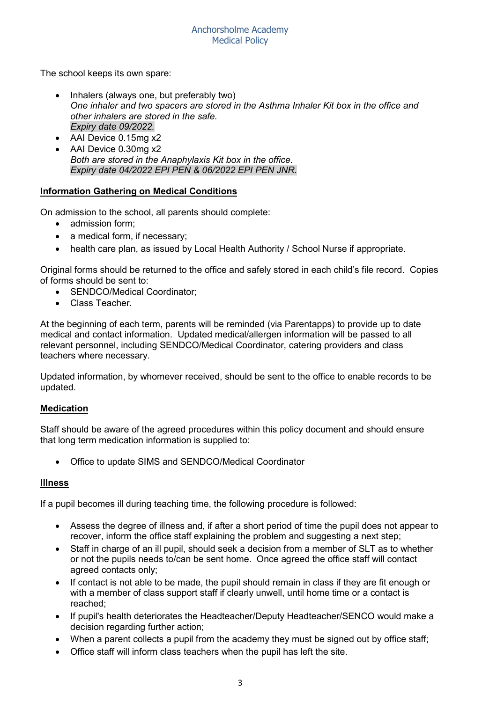The school keeps its own spare:

- Inhalers (always one, but preferably two) *One inhaler and two spacers are stored in the Asthma Inhaler Kit box in the office and other inhalers are stored in the safe. Expiry date 09/2022.*
- AAI Device 0.15mg x2
- AAI Device 0.30mg x2 *Both are stored in the Anaphylaxis Kit box in the office. Expiry date 04/2022 EPI PEN & 06/2022 EPI PEN JNR.*

## **Information Gathering on Medical Conditions**

On admission to the school, all parents should complete:

- admission form;
- a medical form, if necessary;
- health care plan, as issued by Local Health Authority / School Nurse if appropriate.

Original forms should be returned to the office and safely stored in each child's file record. Copies of forms should be sent to:

- SENDCO/Medical Coordinator:
- Class Teacher.

At the beginning of each term, parents will be reminded (via Parentapps) to provide up to date medical and contact information. Updated medical/allergen information will be passed to all relevant personnel, including SENDCO/Medical Coordinator, catering providers and class teachers where necessary.

Updated information, by whomever received, should be sent to the office to enable records to be updated.

#### **Medication**

Staff should be aware of the agreed procedures within this policy document and should ensure that long term medication information is supplied to:

• Office to update SIMS and SENDCO/Medical Coordinator

#### **Illness**

If a pupil becomes ill during teaching time, the following procedure is followed:

- Assess the degree of illness and, if after a short period of time the pupil does not appear to recover, inform the office staff explaining the problem and suggesting a next step;
- Staff in charge of an ill pupil, should seek a decision from a member of SLT as to whether or not the pupils needs to/can be sent home. Once agreed the office staff will contact agreed contacts only;
- If contact is not able to be made, the pupil should remain in class if they are fit enough or with a member of class support staff if clearly unwell, until home time or a contact is reached;
- If pupil's health deteriorates the Headteacher/Deputy Headteacher/SENCO would make a decision regarding further action;
- When a parent collects a pupil from the academy they must be signed out by office staff;
- Office staff will inform class teachers when the pupil has left the site.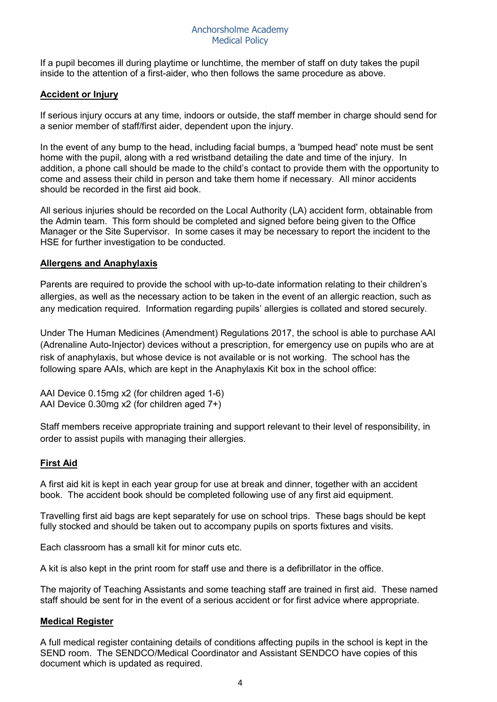If a pupil becomes ill during playtime or lunchtime, the member of staff on duty takes the pupil inside to the attention of a first-aider, who then follows the same procedure as above.

## **Accident or Injury**

If serious injury occurs at any time, indoors or outside, the staff member in charge should send for a senior member of staff/first aider, dependent upon the injury.

In the event of any bump to the head, including facial bumps, a 'bumped head' note must be sent home with the pupil, along with a red wristband detailing the date and time of the injury. In addition, a phone call should be made to the child's contact to provide them with the opportunity to come and assess their child in person and take them home if necessary. All minor accidents should be recorded in the first aid book.

All serious injuries should be recorded on the Local Authority (LA) accident form, obtainable from the Admin team. This form should be completed and signed before being given to the Office Manager or the Site Supervisor. In some cases it may be necessary to report the incident to the HSE for further investigation to be conducted.

#### **Allergens and Anaphylaxis**

Parents are required to provide the school with up-to-date information relating to their children's allergies, as well as the necessary action to be taken in the event of an allergic reaction, such as any medication required. Information regarding pupils' allergies is collated and stored securely.

Under The Human Medicines (Amendment) Regulations 2017, the school is able to purchase AAI (Adrenaline Auto-Injector) devices without a prescription, for emergency use on pupils who are at risk of anaphylaxis, but whose device is not available or is not working. The school has the following spare AAIs, which are kept in the Anaphylaxis Kit box in the school office:

AAI Device 0.15mg x2 (for children aged 1-6) AAI Device 0.30mg x2 (for children aged 7+)

Staff members receive appropriate training and support relevant to their level of responsibility, in order to assist pupils with managing their allergies.

#### **First Aid**

A first aid kit is kept in each year group for use at break and dinner, together with an accident book. The accident book should be completed following use of any first aid equipment.

Travelling first aid bags are kept separately for use on school trips. These bags should be kept fully stocked and should be taken out to accompany pupils on sports fixtures and visits.

Each classroom has a small kit for minor cuts etc.

A kit is also kept in the print room for staff use and there is a defibrillator in the office.

The majority of Teaching Assistants and some teaching staff are trained in first aid. These named staff should be sent for in the event of a serious accident or for first advice where appropriate.

#### **Medical Register**

A full medical register containing details of conditions affecting pupils in the school is kept in the SEND room. The SENDCO/Medical Coordinator and Assistant SENDCO have copies of this document which is updated as required.